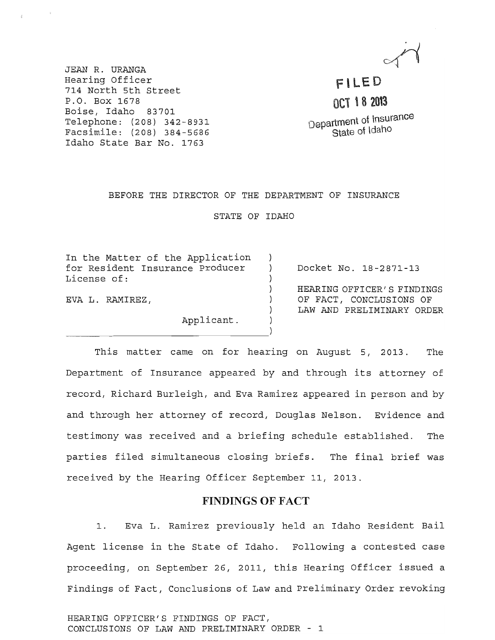JEAN R. URANGA Hearing Officer 714 North 5th street P.O. Box 1678 Boise, Idaho 83701 Telephone: (208) 342-8931 Facsimile: (208) 384-5686 Idaho State Bar No. 1763

Fl LED OCT 18 2013 Department of Insurance

State of Idaho

## BEFORE THE DIRECTOR OF THE DEPARTMENT OF INSURANCE

STATE OF IDAHO

| In the Matter of the Application<br>for Resident Insurance Producer<br>License of: | Docket No. 18-2871-13      |
|------------------------------------------------------------------------------------|----------------------------|
|                                                                                    | HEARING OFFICER'S FINDINGS |
|                                                                                    |                            |
| EVA L. RAMIREZ,                                                                    | OF FACT, CONCLUSIONS OF    |
|                                                                                    | LAW AND PRELIMINARY ORDER  |
| Applicant.                                                                         |                            |

This matter came on for hearing on August 5, 2013. The Department of Insurance appeared by and through its attorney of record, Richard Burleigh, and Eva Ramirez appeared in person and by and through her attorney of record, Douglas Nelson. Evidence and testimony was received and a briefing schedule established. The parties filed simultaneous closing briefs. The final brief was received by the Hearing Officer September 11, 2013.

## FINDINGS OF FACT

1. Eva L. Ramirez previously held an Idaho Resident Bail Agent license in the State of Idaho. Following a contested case proceeding, on September 26, 2011, this Hearing Officer issued a Findings of Fact, Conclusions of Law and preliminary Order revoking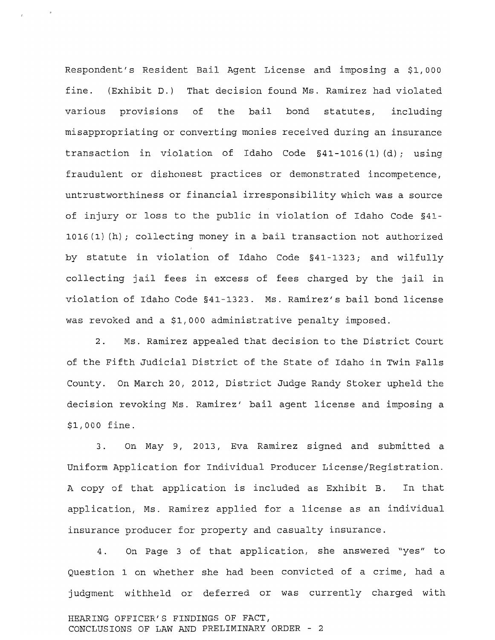Respondent's Resident Bail Agent License and imposing a \$1,000 fine. (Exhibit D.) That decision found Ms. Ramirez had violated various provisions of the bail bond statutes, including misappropriating or converting monies received during an insurance transaction in violation of Idaho Code §41-1016 (1) (d); using fraudulent or dishonest practices or demonstrated incompetence, untrustworthiness or financial irresponsibility which was a source of injury or loss to the public in violation of Idaho Code §41- 1016(1) (h) *i* collecting money in a bail transaction not authorized by statute in violation of Idaho Code §41-1323; and wilfully collecting jail fees in excess of fees charged by the jail in violation of Idaho Code §41-1323. Ms. Ramirez/s bail bond license was revoked and a *\$1/000* administrative penalty imposed.

2. Ms. Ramirez appealed that decision to the District Court of the Fifth Judicial District of the state of Idaho in Twin Falls County. On March 20, 2012, District Judge Randy Stoker upheld the decision revoking Ms. Ramirez' bail agent license and imposing a *\$1/000* fine.

3. On May 9, 2013, Eva Ramirez signed and submitted a uniform Application for Individual Producer License/Registration. A copy of that application is included as Exhibit B. In that application, Ms. Ramirez applied for a license as an individual insurance producer for property and casualty insurance.

4. On Page 3 of that application, she answered "yes" to Question 1 on whether she had been convicted of a crime, had a judgment withheld or deferred or was currently charged with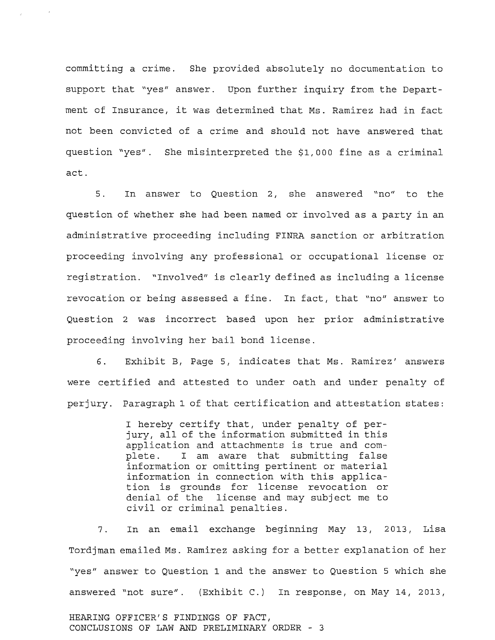committing a crime. She provided absolutely no documentation to support that "yes" answer. Upon further inquiry from the Department of Insurance, it was determined that Ms. Ramirez had in fact not been convicted of a crime and should not have answered that question "yes". She misinterpreted the \$1,000 fine as a criminal act.

5. In answer to Question 2, she answered "no" to the question of whether she had been named or involved as a party in an administrative proceeding including FINRA sanction or arbitration proceeding involving any professional or occupational license or registration. "Involved" is clearly defined as including a license revocation or being assessed a fine. In fact, that "no" answer to Question 2 was incorrect based upon her prior administrative proceeding involving her bail bond license.

6. Exhibit B, Page 5, indicates that Ms. Ramirez' answers were certified and attested to under oath and under penalty of perjury. Paragraph 1 of that certification and attestation states:

> I hereby certify that, under penalty of perjury, all of the information submitted in this application and attachments is true and complete. I am aware that submitting false information or omitting pertinent or material information in connection with this application is grounds for license revocation or denial of the license and may subject me to civil or criminal penalties.

7. In an email exchange beginning May 13, 2013, Lisa Tordjman emailed Ms. Ramirez asking for a better explanation of her "yes" answer to Question 1 and the answer to Question 5 which she answered "not sure". (Exhibit C.) In response, on May 14, 2013,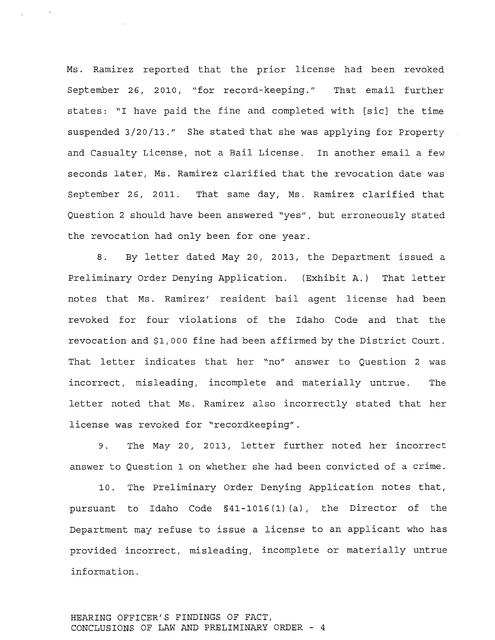Ms. Ramirez reported that the prior license had been revoked September 26, 2010, "for record-keeping." That email further states: "I have paid the fine and completed with [sic] the time suspended 3/20/13." She stated that she was applying for Property and Casualty License, not a Bail License. In another email a few seconds later, Ms. Ramirez clarified that the revocation date was September 26, 2011. That same day, Ms. Ramirez clarified that Question 2 should have been answered "yes", but erroneously stated the revocation had only been for one year.

8. By letter dated May 20, 2013, the Department issued a Preliminary Order Denying Application. (Exhibit A.) That letter notes that Ms. Ramirez' resident bail agent license had been revoked for four violations of the Idaho Code and that the revocation and \$1,000 fine had been affirmed by the District Court. That letter indicates that her "no" answer to Question 2 was incorrect, misleading, incomplete and materially untrue. The letter noted that Ms. Ramirez also incorrectly stated that her license was revoked for "recordkeeping".

9. The May 20, 2013, letter further noted her incorrect answer to Question 1 on whether she had been convicted of a crime.

10. The Preliminary Order Denying Application notes that, pursuant to Idaho Code §41-1016 (1) (a), the Director of the Department may refuse to issue a license to an applicant who has provided incorrect, misleading, incomplete or materially untrue information.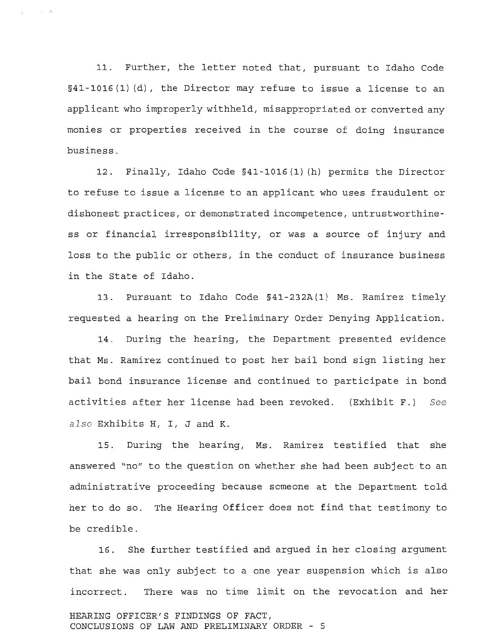11. Further, the letter noted that, pursuant to Idaho Code §41-1016 (1) (d), the Director may refuse to issue a license to an applicant who improperly withheld, misappropriated or converted any monies or properties received in the course of doing insurance business.

12. Finally, Idaho Code §41-1016 (1) (h) permits the Director to refuse to issue a license to an applicant who uses fraudulent or dishonest practices, or demonstrated incompetence, untrustworthiness or financial irresponsibility, or was a source of injury and loss to the public or others, in the conduct of insurance business in the state of Idaho.

13. Pursuant to Idaho Code §41-232A(1) Ms. Ramirez timely requested a hearing on the Preliminary Order Denying Application.

14. During the hearing, the Department presented evidence that Ms. Ramirez continued to post her bail bond sign listing her bail bond insurance license and continued to participate in bond activities after her license had been revoked. (Exhibit F.) *See also* Exhibits H, I, J and K.

15. During the hearing, Ms. Ramirez testified that she answered "no" to the question on whether she had been subject to an administrative proceeding because someone at the Department told her to do so. The Hearing Officer does not find that testimony to be credible.

16. She further testified and argued in her closing argument that she was only subject to a one year suspension which is also incorrect. There was no time limit on the revocation and her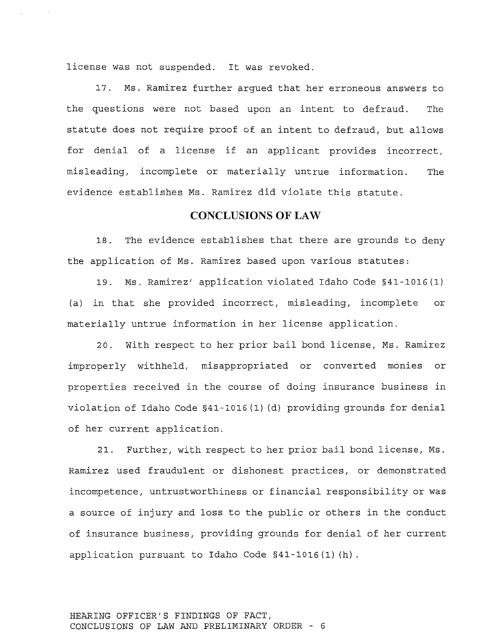license was not suspended. It was revoked.

17. Ms. Ramirez further argued that her erroneous answers to the questions were not based upon an intent to defraud. The statute does not require proof of an intent to defraud, but allows for denial of a license if an applicant provides incorrect, misleading, incomplete or materially untrue information. The evidence establishes Ms. Ramirez did violate this statute.

## CONCLUSIONS **OF** LAW

18. The evidence establishes that there are grounds to deny the application of Ms. Ramirez based upon various statutes:

19. Ms. Ramirez' application violated Idaho Code §41-1016(1) (a) in that she provided incorrect, misleading, incomplete or materially untrue information in her license application.

20. With respect to her prior bail bond license, Ms. Ramirez improperly withheld, misappropriated or converted monies or properties received in the course of doing insurance business in violation of Idaho Code §41-1016 (1) (d) providing grounds for denial of her current application.

21. Further, with respect to her prior bail bond license, Ms. Ramirez used fraudulent or dishonest practices, or demonstrated incompetence, untrustworthiness or financial responsibility or was a source of injury and loss to the public or others in the conduct of insurance business, providing grounds for denial of her current application pursuant to Idaho Code §41-1016 (1) (h) .